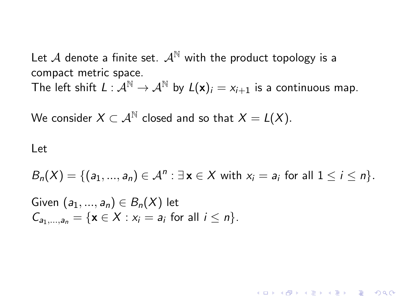Let A denote a finite set.  $A^{\mathbb{N}}$  with the product topology is a compact metric space. The left shift  $L : \mathcal{A}^{\mathbb{N}} \to \mathcal{A}^{\mathbb{N}}$  by  $L(\mathbf{x})_i = x_{i+1}$  is a continuous map.

We consider  $X \subset \mathcal{A}^{\mathbb{N}}$  closed and so that  $X = L(X)$ .

## Let

$$
B_n(X) = \{ (a_1, ..., a_n) \in \mathcal{A}^n : \exists \mathbf{x} \in X \text{ with } x_i = a_i \text{ for all } 1 \leq i \leq n \}.
$$

**KORKAR KERKER EL VOLO** 

Given  $(a_1, ..., a_n) \in B_n(X)$  let  $C_{a_1,...,a_n} = \{ \mathbf{x} \in X : x_i = a_i \text{ for all } i \leq n \}.$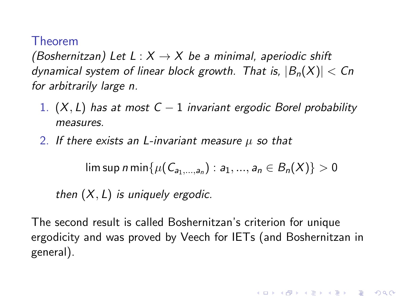## Theorem

(Boshernitzan) Let  $L : X \rightarrow X$  be a minimal, aperiodic shift dynamical system of linear block growth. That is,  $|B_n(X)| < Cn$ for arbitrarily large n.

- 1.  $(X, L)$  has at most  $C 1$  invariant ergodic Borel probability measures.
- 2. If there exists an L-invariant measure  $\mu$  so that

 $\limsup$  n min $\{\mu(\mathcal{C}_{a_1,...,a_n}): a_1,...,a_n\in B_n(X)\}>0$ 

then  $(X, L)$  is uniquely ergodic.

The second result is called Boshernitzan's criterion for unique ergodicity and was proved by Veech for IETs (and Boshernitzan in general).

4 D > 4 P + 4 B + 4 B + B + 9 Q O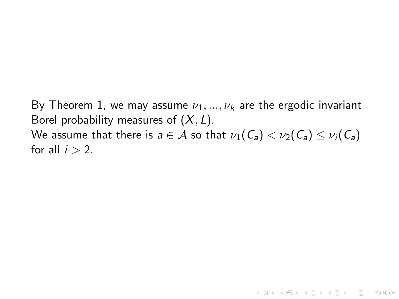By Theorem 1, we may assume  $\nu_1, ..., \nu_k$  are the ergodic invariant Borel probability measures of  $(X, L)$ . We assume that there is  $a \in A$  so that  $\nu_1(C_a) < \nu_2(C_a) \leq \nu_i(C_a)$ for all  $i > 2$ .

K ロ ▶ K @ ▶ K 할 > K 할 > 1 할 > 1 이익어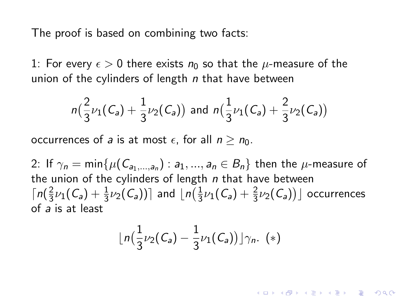The proof is based on combining two facts:

1: For every  $\epsilon > 0$  there exists  $n_0$  so that the  $\mu$ -measure of the union of the cylinders of length  $n$  that have between

$$
n\left(\frac{2}{3}\nu_1(C_a) + \frac{1}{3}\nu_2(C_a)\right) \text{ and } n\left(\frac{1}{3}\nu_1(C_a) + \frac{2}{3}\nu_2(C_a)\right)
$$

occurrences of a is at most  $\epsilon$ , for all  $n > n_0$ .

2: If  $\gamma_n = \min \{\mu(\mathsf{C}_{a_1,...,a_n}) : a_1,...,a_n \in B_n\}$  then the  $\mu$ -measure of the union of the cylinders of length  $n$  that have between  $\lceil n \rceil$  $\frac{2}{3}\nu_1(\mathcal{C}_{\mathsf{a}})+\frac{1}{3}\nu_2(\mathcal{C}_{\mathsf{a}}))$  and  $\lfloor n(\frac{1}{3})\rfloor$  $\frac{1}{3}\nu_1(\mathcal{C}_{\mathsf{a}})+\frac{2}{3}\nu_2(\mathcal{C}_{\mathsf{a}})\big)\rfloor$  occurrences of a is at least

$$
\lfloor n\big(\frac{1}{3}\nu_2(C_a)-\frac{1}{3}\nu_1(C_a)\big)\rfloor\gamma_n.\ (*)
$$

**A O A G A 4 O A C A G A G A 4 O A C A**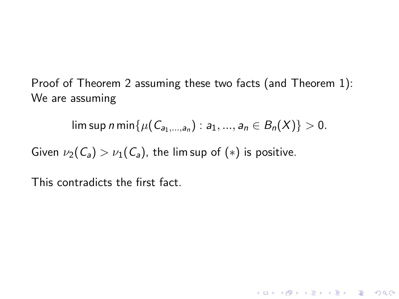Proof of Theorem 2 assuming these two facts (and Theorem 1): We are assuming

 $\limsup n \min\{ \mu(C_{a_1,...,a_n}) : a_1,...,a_n \in B_n(X) \} > 0.$ 

4 D > 4 P + 4 B + 4 B + B + 9 Q O

Given  $\nu_2(\mathcal{C}_a) > \nu_1(\mathcal{C}_a)$ , the lim sup of  $(*)$  is positive.

This contradicts the first fact.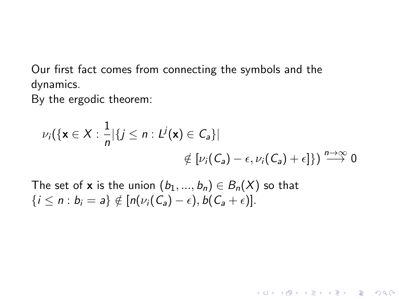Our first fact comes from connecting the symbols and the dynamics.

By the ergodic theorem:

$$
\nu_i(\{\mathbf{x} \in X : \frac{1}{n}|\{j \leq n : L^j(\mathbf{x}) \in C_a\}|
$$
  

$$
\notin [\nu_i(C_a) - \epsilon, \nu_i(C_a) + \epsilon]\}) \stackrel{n \to \infty}{\longrightarrow} 0
$$

**KORK ERKER ADE YOUR** 

The set of **x** is the union  $(b_1, ..., b_n) \in B_n(X)$  so that  $\{i \leq n : b_i = a\} \notin [n(\nu_i(\mathcal{C}_a) - \epsilon), b(\mathcal{C}_a + \epsilon)].$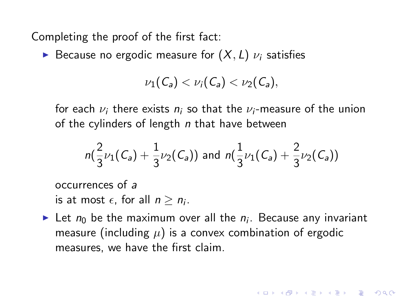Completing the proof of the first fact:

Because no ergodic measure for  $(X, L)$   $\nu_i$  satisfies

$$
\nu_1(\mathcal{C}_a) < \nu_i(\mathcal{C}_a) < \nu_2(\mathcal{C}_a),
$$

for each  $\nu_i$  there exists  $n_i$  so that the  $\nu_i$ -measure of the union of the cylinders of length  $n$  that have between

$$
n(\frac{2}{3}\nu_1(C_a)+\frac{1}{3}\nu_2(C_a)) \text{ and } n(\frac{1}{3}\nu_1(C_a)+\frac{2}{3}\nu_2(C_a))
$$

occurrences of a

is at most  $\epsilon$ , for all  $n \geq n_i$ .

In Let  $n_0$  be the maximum over all the  $n_i$ . Because any invariant measure (including  $\mu$ ) is a convex combination of ergodic measures, we have the first claim.

**KORKAR KERKER EL VOLO**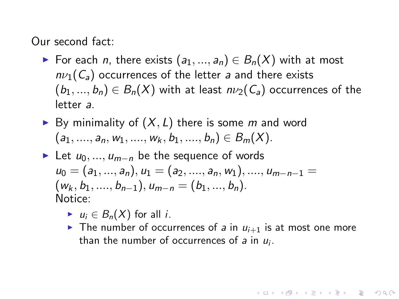Our second fact:

- ► For each *n*, there exists  $(a_1, ..., a_n) \in B_n(X)$  with at most  $n\nu_1(C_a)$  occurrences of the letter a and there exists  $(b_1, ..., b_n) \in B_n(X)$  with at least  $n\nu_2(C_a)$  occurrences of the letter a.
- By minimality of  $(X, L)$  there is some m and word  $(a_1, \ldots, a_n, w_1, \ldots, w_k, b_1, \ldots, b_n) \in B_m(X)$ .
- ► Let  $u_0, ..., u_{m-n}$  be the sequence of words  $u_0 = (a_1, ..., a_n), u_1 = (a_2, ..., a_n, w_1), ..., u_{m-n-1} =$  $(w_k, b_1, \ldots, b_{n-1}), u_{m-n} = (b_1, \ldots, b_n).$ Notice:
	- $u_i \in B_n(X)$  for all *i*.
	- In The number of occurrences of a in  $u_{i+1}$  is at most one more than the number of occurrences of  $a$  in  $u_i$ .

**ALLARA ARALIS ARRA**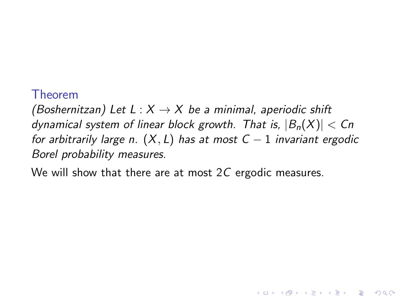## Theorem

(Boshernitzan) Let L :  $X \rightarrow X$  be a minimal, aperiodic shift dynamical system of linear block growth. That is,  $|B_n(X)| < Cn$ for arbitrarily large n.  $(X, L)$  has at most  $C - 1$  invariant ergodic Borel probability measures.

**KORK ERKER ADE YOUR** 

We will show that there are at most  $2C$  ergodic measures.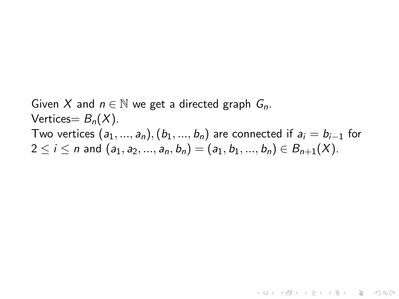Given X and  $n \in \mathbb{N}$  we get a directed graph  $G_n$ . Vertices =  $B_n(X)$ . Two vertices  $(a_1, ..., a_n)$ ,  $(b_1, ..., b_n)$  are connected if  $a_i = b_{i-1}$  for  $2 \le i \le n$  and  $(a_1, a_2, ..., a_n, b_n) = (a_1, b_1, ..., b_n) \in B_{n+1}(X)$ .

**KORK ERKER ADE YOUR**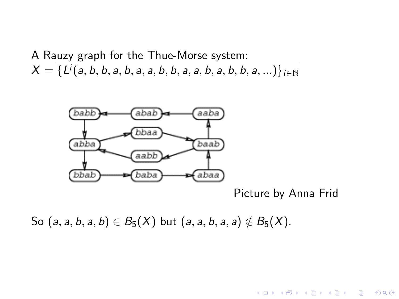A Rauzy graph for the Thue-Morse system:  $\mathcal{X} = \{ \mathit{L^i(a,b,b,a,b,a,a,b,b,a,a,b,b,a,b,b,a,...)} \}_{i \in \mathbb{N}}$ 



Picture by Anna Frid

**KORK STRAIN A BAR SHOP** 

So  $(a, a, b, a, b) \in B_5(X)$  but  $(a, a, b, a, a) \notin B_5(X)$ .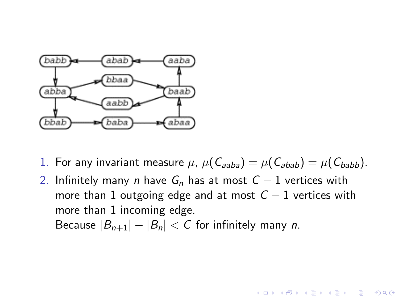

- 1. For any invariant measure  $\mu$ ,  $\mu(C_{\mathsf{a}ab\mathsf{a}}) = \mu(C_{\mathsf{a}b\mathsf{a}b}) = \mu(C_{\mathsf{b}a\mathsf{b}b}).$
- 2. Infinitely many n have  $G_n$  has at most  $C 1$  vertices with more than 1 outgoing edge and at most  $C - 1$  vertices with more than 1 incoming edge.

**KORK ERKER ADE YOUR** 

Because  $|B_{n+1}| - |B_n| < C$  for infinitely many *n*.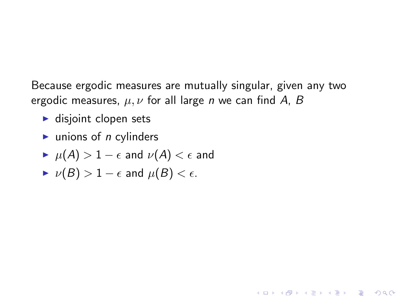Because ergodic measures are mutually singular, given any two ergodic measures,  $\mu, \nu$  for all large *n* we can find A, B

**KORK ERKER ADE YOUR** 

- $\blacktriangleright$  disjoint clopen sets
- $\blacktriangleright$  unions of *n* cylinders
- $\blacktriangleright$   $\mu(A) > 1 \epsilon$  and  $\nu(A) < \epsilon$  and
- $\triangleright \nu(B) > 1 \epsilon$  and  $\mu(B) < \epsilon$ .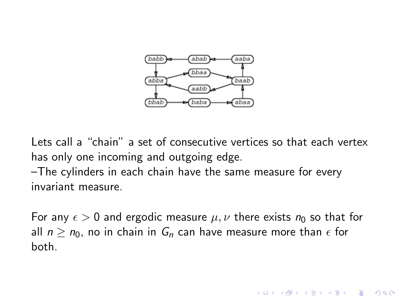

Lets call a "chain" a set of consecutive vertices so that each vertex has only one incoming and outgoing edge.

–The cylinders in each chain have the same measure for every invariant measure.

For any  $\epsilon > 0$  and ergodic measure  $\mu, \nu$  there exists  $n_0$  so that for all  $n > n_0$ , no in chain in  $G_n$  can have measure more than  $\epsilon$  for both.

**KORK ERKER ADE YOUR**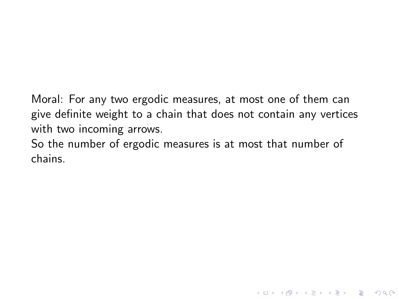Moral: For any two ergodic measures, at most one of them can give definite weight to a chain that does not contain any vertices with two incoming arrows.

**K ロ ▶ K @ ▶ K 할 X X 할 X → 할 X → 9 Q Q ^** 

So the number of ergodic measures is at most that number of chains.